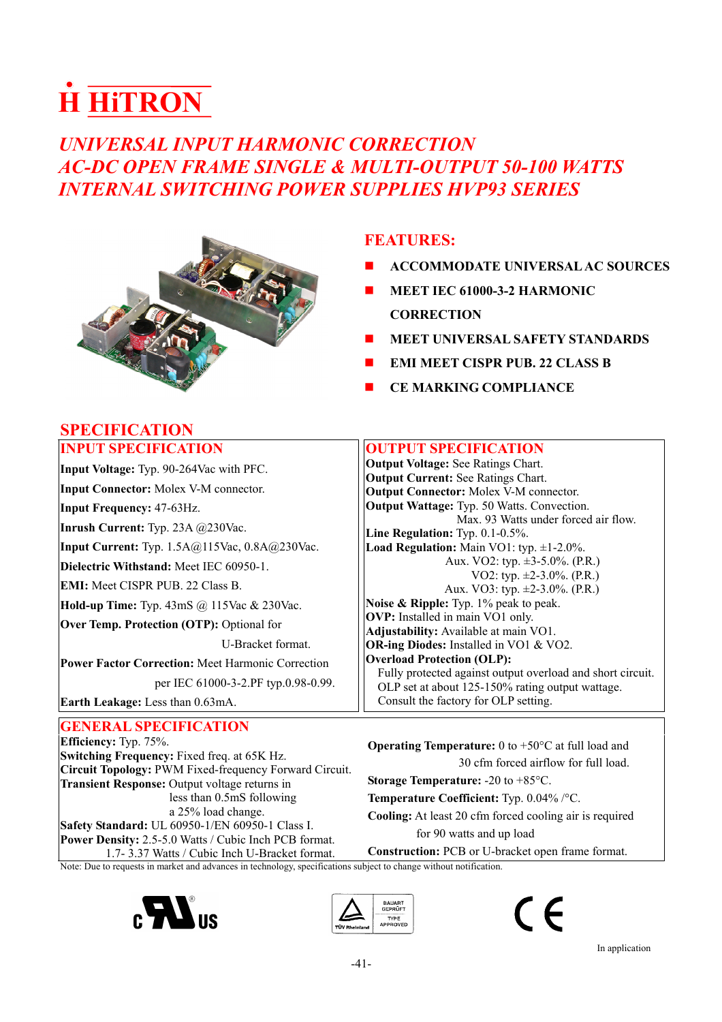# **H HiTRON**

# *UNIVERSAL INPUT HARMONIC CORRECTION AC-DC OPEN FRAME SINGLE & MULTI-OUTPUT 50-100 WATTS INTERNAL SWITCHING POWER SUPPLIES HVP93 SERIES*



- **ACCOMMODATE UNIVERSAL AC SOURCES**
- **MEET IEC 61000-3-2 HARMONIC CORRECTION**
- **MEET UNIVERSAL SAFETY STANDARDS**
- **EMI MEET CISPR PUB. 22 CLASS B**
- **CE MARKING COMPLIANCE**

| <b>INPUT SPECIFICATION</b>                                                    | <b>OUTPUT SPECIFICATION</b>                                                                                    |
|-------------------------------------------------------------------------------|----------------------------------------------------------------------------------------------------------------|
| <b>Input Voltage:</b> Typ. 90-264Vac with PFC.                                | <b>Output Voltage: See Ratings Chart.</b>                                                                      |
| <b>Input Connector:</b> Molex V-M connector.                                  | <b>Output Current:</b> See Ratings Chart.<br><b>Output Connector:</b> Molex V-M connector.                     |
| <b>Input Frequency: 47-63Hz.</b>                                              | <b>Output Wattage:</b> Typ. 50 Watts. Convection.                                                              |
| <b>Inrush Current:</b> Typ. 23A $@230$ Vac.                                   | Max. 93 Watts under forced air flow.<br>Line Regulation: Typ. 0.1-0.5%.                                        |
| <b>Input Current:</b> Typ. 1.5A@115Vac, 0.8A@230Vac.                          | <b>Load Regulation:</b> Main VO1: typ. $\pm 1$ -2.0%.                                                          |
| Dielectric Withstand: Meet IEC 60950-1.                                       | Aux. VO2: typ. $\pm$ 3-5.0%. (P.R.)<br>VO2: typ. $\pm 2-3.0\%$ . (P.R.)                                        |
| <b>EMI:</b> Meet CISPR PUB. 22 Class B.                                       | Aux. VO3: typ. $\pm 2-3.0\%$ . (P.R.)                                                                          |
| <b>Hold-up Time:</b> Typ. $43\text{mS}$ @ $115\text{Vac}$ & $230\text{Vac}$ . | Noise & Ripple: Typ. 1% peak to peak.                                                                          |
| Over Temp. Protection (OTP): Optional for                                     | <b>OVP:</b> Installed in main VO1 only.<br>Adjustability: Available at main VO1.                               |
| U-Bracket format.                                                             | <b>OR-ing Diodes:</b> Installed in VO1 & VO2.                                                                  |
| <b>Power Factor Correction: Meet Harmonic Correction</b>                      | <b>Overload Protection (OLP):</b>                                                                              |
| per IEC 61000-3-2.PF typ.0.98-0.99.                                           | Fully protected against output overload and short circuit.<br>OLP set at about 125-150% rating output wattage. |
| Earth Leakage: Less than 0.63mA.                                              | Consult the factory for OLP setting.                                                                           |
|                                                                               |                                                                                                                |

**Efficiency:** Typ. 75%. **Switching Frequency:** Fixed freq. at 65K Hz. **Circuit Topology:** PWM Fixed-frequency Forward Circuit. **Transient Response:** Output voltage returns in less than 0.5mS following a 25% load change. **Safety Standard:** UL 60950-1/EN 60950-1 Class I. **Power Density:** 2.5-5.0 Watts / Cubic Inch PCB format. 1.7- 3.37 Watts / Cubic Inch U-Bracket format.

#### **Operating Temperature:** 0 to +50°C at full load and 30 cfm forced airflow for full load. **Storage Temperature:** -20 to +85°C.

**Temperature Coefficient:** Typ. 0.04% /°C.

**Cooling:** At least 20 cfm forced cooling air is required for 90 watts and up load

**Construction:** PCB or U-bracket open frame format.

Note: Due to requests in market and advances in technology, specifications subject to change without notification.







# **SPECIFICATION**

# **GENERAL SPECIFICATION**